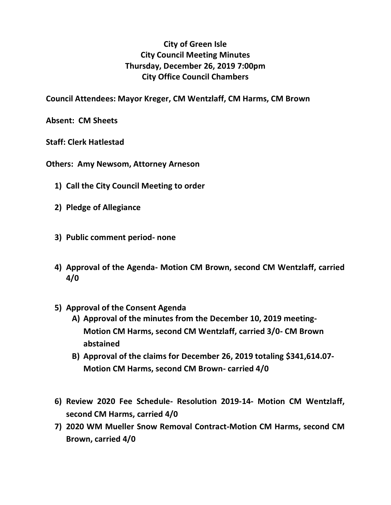## **City of Green Isle City Council Meeting Minutes Thursday, December 26, 2019 7:00pm City Office Council Chambers**

**Council Attendees: Mayor Kreger, CM Wentzlaff, CM Harms, CM Brown**

**Absent: CM Sheets**

**Staff: Clerk Hatlestad**

**Others: Amy Newsom, Attorney Arneson**

- **1) Call the City Council Meeting to order**
- **2) Pledge of Allegiance**
- **3) Public comment period- none**
- **4) Approval of the Agenda- Motion CM Brown, second CM Wentzlaff, carried 4/0**
- **5) Approval of the Consent Agenda**
	- **A) Approval of the minutes from the December 10, 2019 meeting-Motion CM Harms, second CM Wentzlaff, carried 3/0- CM Brown abstained**
	- **B) Approval of the claims for December 26, 2019 totaling \$341,614.07- Motion CM Harms, second CM Brown- carried 4/0**
- **6) Review 2020 Fee Schedule- Resolution 2019-14- Motion CM Wentzlaff, second CM Harms, carried 4/0**
- **7) 2020 WM Mueller Snow Removal Contract-Motion CM Harms, second CM Brown, carried 4/0**